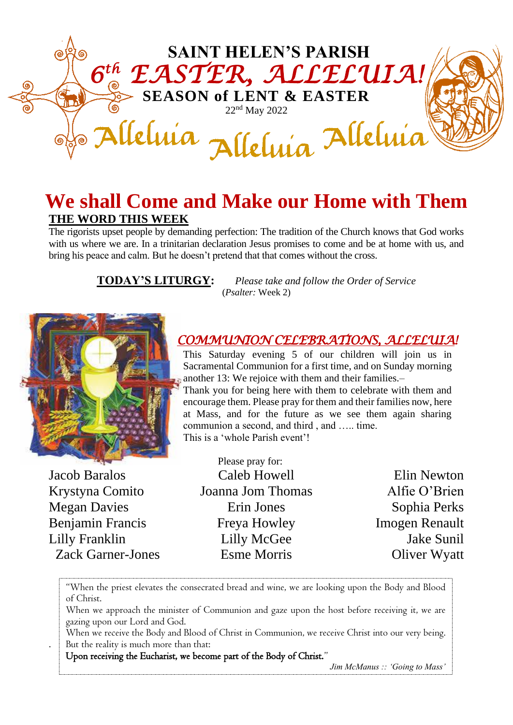

## **We shall Come and Make our Home with Them THE WORD THIS WEEK**

The rigorists upset people by demanding perfection: The tradition of the Church knows that God works with us where we are. In a trinitarian declaration Jesus promises to come and be at home with us, and bring his peace and calm. But he doesn't pretend that that comes without the cross.

**TODAY'S LITURGY:** *Please take and follow the Order of Service* (*Psalter:* Week 2)



Jacob Baralos Krystyna Comito Megan Davies Benjamin Francis Lilly Franklin Zack Garner-Jones

.

*COMMUNION CELEBRATIONS, ALLELUIA!*

This Saturday evening 5 of our children will join us in Sacramental Communion for a first time, and on Sunday morning another 13: We rejoice with them and their families.–

Thank you for being here with them to celebrate with them and encourage them. Please pray for them and their families now, here at Mass, and for the future as we see them again sharing communion a second, and third , and ….. time. This is a 'whole Parish event'!

Please pray for: Caleb Howell Joanna Jom Thomas Erin Jones Freya Howley Lilly McGee Esme Morris

Elin Newton Alfie O'Brien Sophia Perks Imogen Renault Jake Sunil Oliver Wyatt

"When the priest elevates the consecrated bread and wine, we are looking upon the Body and Blood of Christ.

When we approach the minister of Communion and gaze upon the host before receiving it, we are gazing upon our Lord and God.

When we receive the Body and Blood of Christ in Communion, we receive Christ into our very being. But the reality is much more than that:

Upon receiving the Eucharist, we become part of the Body of Christ."

*Jim McManus :: 'Going to Mass'*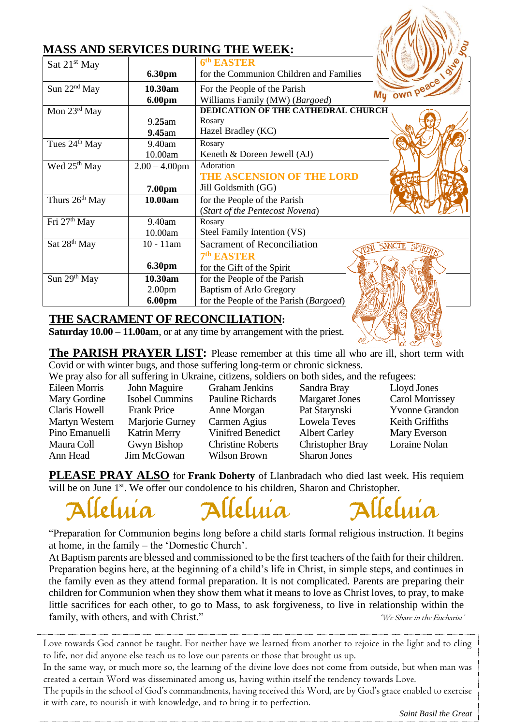|                            |                                         | MASS AND SERVICES DURING THE WEEK:                                                                       |
|----------------------------|-----------------------------------------|----------------------------------------------------------------------------------------------------------|
| Sat 21 <sup>st</sup> May   | <b>6.30pm</b>                           | 6th EASTER<br>for the Communion Children and Families                                                    |
| Sun 22 <sup>nd</sup> May   | 10.30am<br>6.00pm                       | My own peace<br>For the People of the Parish<br>Williams Family (MW) (Bargoed)                           |
| Mon 23rd May               | 9.25am<br>$9.45$ am                     | DEDICATION OF THE CATHEDRAL CHURCH<br>Rosary<br>Hazel Bradley (KC)                                       |
| Tues 24 <sup>th</sup> May  | 9.40am<br>10.00am                       | Rosary<br>Keneth & Doreen Jewell (AJ)                                                                    |
| Wed 25 <sup>th</sup> May   | $2.00 - 4.00$ pm<br>7.00pm              | Adoration<br>THE ASCENSION OF THE LORD<br>Jill Goldsmith (GG)                                            |
| Thurs 26 <sup>th</sup> May | 10.00am                                 | for the People of the Parish<br>(Start of the Pentecost Novena)                                          |
| Fri 27 <sup>th</sup> May   | 9.40am<br>10.00am                       | Rosary<br>Steel Family Intention (VS)                                                                    |
| Sat 28 <sup>th</sup> May   | $10 - 11$ am<br><b>6.30pm</b>           | <b>Sacrament of Reconciliation</b><br><b>SANCTE SP</b><br>7th EASTER<br>for the Gift of the Spirit       |
| Sun 29th May               | 10.30am<br>2.00 <sub>pm</sub><br>6.00pm | for the People of the Parish<br><b>Baptism of Arlo Gregory</b><br>for the People of the Parish (Bargoed) |

### **THE SACRAMENT OF RECONCILIATION:**

**Saturday 10.00 – 11.00am**, or at any time by arrangement with the priest.

**The PARISH PRAYER LIST:** Please remember at this time all who are ill, short term with Covid or with winter bugs, and those suffering long-term or chronic sickness.

We pray also for all suffering in Ukraine, citizens, soldiers on both sides, and the refugees:

Eileen Morris John Maguire Graham Jenkins Sandra Bray Lloyd Jones Mary Gordine Isobel Cummins Pauline Richards Margaret Jones Carol Morrissey Claris Howell Frank Price Anne Morgan Pat Starynski Yvonne Grandon Martyn Western Marjorie Gurney Carmen Agius Lowela Teves Keith Griffiths Pino Emanuelli Katrin Merry Vinifred Benedict Albert Carley Mary Everson Maura Coll Gwyn Bishop Christine Roberts Christopher Bray Loraine Nolan Ann Head Jim McGowan Wilson Brown Sharon Jones

**PLEASE PRAY ALSO** for **Frank Doherty** of Llanbradach who died last week. His requiem will be on June 1<sup>st</sup>. We offer our condolence to his children, Sharon and Christopher.

Alleluía



Alleluía

"Preparation for Communion begins long before a child starts formal religious instruction. It begins at home, in the family – the 'Domestic Church'.

At Baptism parents are blessed and commissioned to be the first teachers of the faith for their children. Preparation begins here, at the beginning of a child's life in Christ, in simple steps, and continues in the family even as they attend formal preparation. It is not complicated. Parents are preparing their children for Communion when they show them what it means to love as Christ loves, to pray, to make little sacrifices for each other, to go to Mass, to ask forgiveness, to live in relationship within the family, with others, and with Christ." (We Share in the Eucharist'

Love towards God cannot be taught. For neither have we learned from another to rejoice in the light and to cling to life, nor did anyone else teach us to love our parents or those that brought us up.

In the same way, or much more so, the learning of the divine love does not come from outside, but when man was created a certain Word was disseminated among us, having within itself the tendency towards Love.

The pupils in the school of God's commandments, having received this Word, are by God's grace enabled to exercise it with care, to nourish it with knowledge, and to bring it to perfection.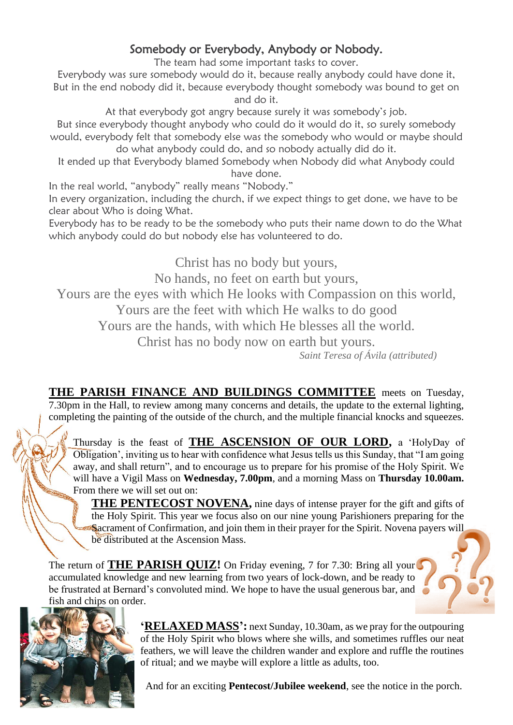## Somebody or Everybody, Anybody or Nobody.

The team had some important tasks to cover.

Everybody was sure somebody would do it, because really anybody could have done it, But in the end nobody did it, because everybody thought somebody was bound to get on and do it.

At that everybody got angry because surely it was somebody's job.

But since everybody thought anybody who could do it would do it, so surely somebody would, everybody felt that somebody else was the somebody who would or maybe should do what anybody could do, and so nobody actually did do it.

It ended up that Everybody blamed Somebody when Nobody did what Anybody could have done.

In the real world, "anybody" really means "Nobody."

In every organization, including the church, if we expect things to get done, we have to be clear about Who is doing What.

Everybody has to be ready to be the somebody who puts their name down to do the What which anybody could do but nobody else has volunteered to do.

Christ has no body but yours,

No hands, no feet on earth but yours,

Yours are the eyes with which He looks with Compassion on this world,

Yours are the feet with which He walks to do good

Yours are the hands, with which He blesses all the world.

Christ has no body now on earth but yours.

*Saint Teresa of Ávila (attributed)*

**THE PARISH FINANCE AND BUILDINGS COMMITTEE** meets on Tuesday, 7.30pm in the Hall, to review among many concerns and details, the update to the external lighting, completing the painting of the outside of the church, and the multiple financial knocks and squeezes.

Thursday is the feast of **THE ASCENSION OF OUR LORD,** a 'HolyDay of Obligation', inviting us to hear with confidence what Jesus tells us this Sunday, that "I am going away, and shall return", and to encourage us to prepare for his promise of the Holy Spirit. We will have a Vigil Mass on **Wednesday, 7.00pm**, and a morning Mass on **Thursday 10.00am.** From there we will set out on:

**THE PENTECOST NOVENA,** nine days of intense prayer for the gift and gifts of the Holy Spirit. This year we focus also on our nine young Parishioners preparing for the Sacrament of Confirmation, and join them in their prayer for the Spirit. Novena payers will be distributed at the Ascension Mass.

The return of **THE PARISH QUIZ!** On Friday evening, 7 for 7.30: Bring all your accumulated knowledge and new learning from two years of lock-down, and be ready to be frustrated at Bernard's convoluted mind. We hope to have the usual generous bar, and fish and chips on order.



**'RELAXED MASS':** next Sunday, 10.30am, as we pray for the outpouring of the Holy Spirit who blows where she wills, and sometimes ruffles our neat feathers, we will leave the children wander and explore and ruffle the routines of ritual; and we maybe will explore a little as adults, too.

And for an exciting **Pentecost/Jubilee weekend**, see the notice in the porch.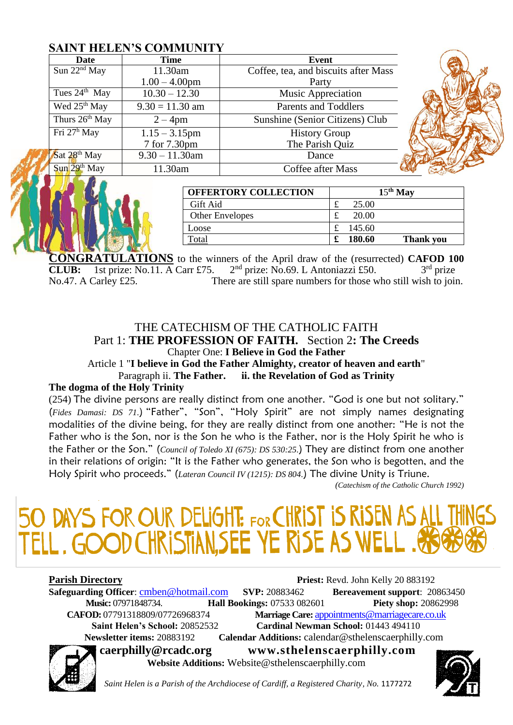### **SAINT HELEN'S COMMUNITY**

| Date                              | <b>Time</b>       | Event                                |  |
|-----------------------------------|-------------------|--------------------------------------|--|
| Sun 22 <sup>nd</sup> May          | 11.30am           | Coffee, tea, and biscuits after Mass |  |
|                                   | $1.00 - 4.00$ pm  | Party                                |  |
| Tues $24th$ May                   | $10.30 - 12.30$   | Music Appreciation                   |  |
| Wed 25 <sup>th</sup> May          | $9.30 = 11.30$ am | <b>Parents and Toddlers</b>          |  |
| Thurs 26 <sup>th</sup> May        | $2 - 4$ pm        | Sunshine (Senior Citizens) Club      |  |
| Fri 27 <sup>h</sup> May           | $1.15 - 3.15$ pm  | <b>History Group</b>                 |  |
|                                   | 7 for 7.30pm      | The Parish Quiz                      |  |
| Sat 28 <sup>th</sup> May          | $9.30 - 11.30$ am | Dance                                |  |
| $\text{Sun}$ 29 <sup>th</sup> May | 11.30am           | Coffee after Mass                    |  |

| <b>OFFERTORY COLLECTION</b> | $15th$ May                      |
|-----------------------------|---------------------------------|
| Gift Aid                    | 25.00                           |
| <b>Other Envelopes</b>      | 20.00<br>£                      |
| Loose                       | 145.60                          |
| Total                       | 180.60<br><b>Thank you</b><br>£ |

**CONGRATULATIONS** to the winners of the April draw of the (resurrected) **CAFOD 100 LUB:** 1st prize: No.11, A Carr £75. 2<sup>nd</sup> prize: No.69. L Antoniazzi £50. 3<sup>rd</sup> prize **CLUB:** 1st prize: No.11. A Carr £75.  $2<sup>nd</sup>$  prize: No.69. L Antoniazzi £50.  $3<sup>rd</sup>$  prize No.47. A Carley £25. There are still spare numbers for those who still wish to join.

### THE CATECHISM OF THE CATHOLIC FAITH Part 1: **THE PROFESSION OF FAITH.** Section 2**: The Creeds**  Chapter One: **I Believe in God the Father**

Article 1 "**I believe in God the Father Almighty, creator of heaven and earth**" Paragraph ii. **The Father. ii. the Revelation of God as Trinity**

### **The dogma of the Holy Trinity**

(254) The divine persons are really distinct from one another. "God is one but not solitary." (*Fides Damasi: DS 71.*) "Father", "Son", "Holy Spirit" are not simply names designating modalities of the divine being, for they are really distinct from one another: "He is not the Father who is the Son, nor is the Son he who is the Father, nor is the Holy Spirit he who is the Father or the Son." (*Council of Toledo XI (675): DS 530:25.*) They are distinct from one another in their relations of origin: "It is the Father who generates, the Son who is begotten, and the Holy Spirit who proceeds." (*Lateran Council IV (1215): DS 804.*) The divine Unity is Triune.

*(Catechism of the Catholic Church 1992)*

# 50 DAYS FOR OUR DELIGHTE FOR CHRIST IS RISEN AS TELL. GOOD CHRISTIAN, SEE YE RISE AS WELL. AS

**Parish Directory Priest:** Revd. John Kelly 20 883192 **Safeguarding Officer:** [cmben@hotmail.com](mailto:cmben@hotmail.com) **SVP:** 20883462 **Bereavement support**: 20863450 **Music:** 07971848734. **Hall Bookings:** 07533 082601 **Piety shop:** 20862998 **CAFOD:** 07791318809/07726968374 **Marriage Care:** [appointments@marriagecare.co.uk](mailto:appointments@marriagecare.co.uk)  **Saint Helen's School:** 20852532 **Cardinal Newman School:** 01443 494110  **Newsletter items:** 20883192 **Calendar Additions:** calendar@sthelenscaerphilly.com **caerphilly@rcadc.org [www.sthelenscaerphilly.com](http://www.sthelenscaerphilly.com/)**

**Website Additions:** Website[@sthelenscaerphilly.com](http://sthelenscaerphilly.com/)



Saint Helen is a Parish of the Archdiocese of Cardiff, a Registered Charity, No. 1177272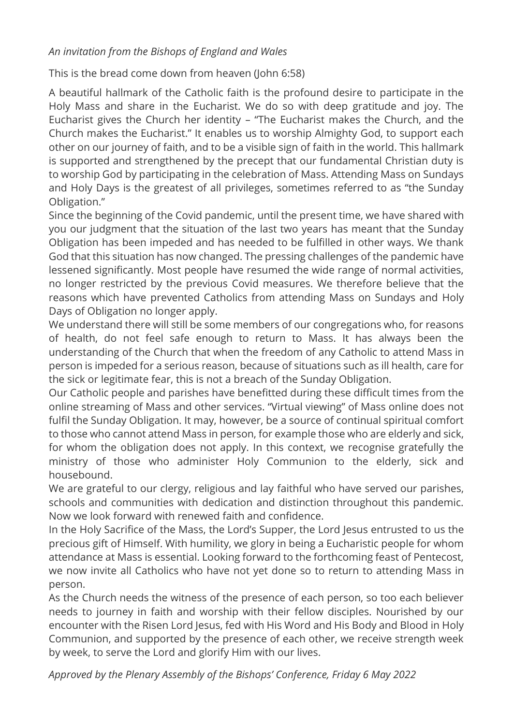### *An invitation from the Bishops of England and Wales*

This is the bread come down from heaven (John 6:58)

A beautiful hallmark of the Catholic faith is the profound desire to participate in the Holy Mass and share in the Eucharist. We do so with deep gratitude and joy. The Eucharist gives the Church her identity – "The Eucharist makes the Church, and the Church makes the Eucharist." It enables us to worship Almighty God, to support each other on our journey of faith, and to be a visible sign of faith in the world. This hallmark is supported and strengthened by the precept that our fundamental Christian duty is to worship God by participating in the celebration of Mass. Attending Mass on Sundays and Holy Days is the greatest of all privileges, sometimes referred to as "the Sunday Obligation."

Since the beginning of the Covid pandemic, until the present time, we have shared with you our judgment that the situation of the last two years has meant that the Sunday Obligation has been impeded and has needed to be fulfilled in other ways. We thank God that this situation has now changed. The pressing challenges of the pandemic have lessened significantly. Most people have resumed the wide range of normal activities, no longer restricted by the previous Covid measures. We therefore believe that the reasons which have prevented Catholics from attending Mass on Sundays and Holy Days of Obligation no longer apply.

We understand there will still be some members of our congregations who, for reasons of health, do not feel safe enough to return to Mass. It has always been the understanding of the Church that when the freedom of any Catholic to attend Mass in person is impeded for a serious reason, because of situations such as ill health, care for the sick or legitimate fear, this is not a breach of the Sunday Obligation.

Our Catholic people and parishes have benefitted during these difficult times from the online streaming of Mass and other services. "Virtual viewing" of Mass online does not fulfil the Sunday Obligation. It may, however, be a source of continual spiritual comfort to those who cannot attend Mass in person, for example those who are elderly and sick, for whom the obligation does not apply. In this context, we recognise gratefully the ministry of those who administer Holy Communion to the elderly, sick and housebound.

We are grateful to our clergy, religious and lay faithful who have served our parishes, schools and communities with dedication and distinction throughout this pandemic. Now we look forward with renewed faith and confidence.

In the Holy Sacrifice of the Mass, the Lord's Supper, the Lord Jesus entrusted to us the precious gift of Himself. With humility, we glory in being a Eucharistic people for whom attendance at Mass is essential. Looking forward to the forthcoming feast of Pentecost, we now invite all Catholics who have not yet done so to return to attending Mass in person.

As the Church needs the witness of the presence of each person, so too each believer needs to journey in faith and worship with their fellow disciples. Nourished by our encounter with the Risen Lord Jesus, fed with His Word and His Body and Blood in Holy Communion, and supported by the presence of each other, we receive strength week by week, to serve the Lord and glorify Him with our lives.

*Approved by the Plenary Assembly of the Bishops' Conference, Friday 6 May 2022*